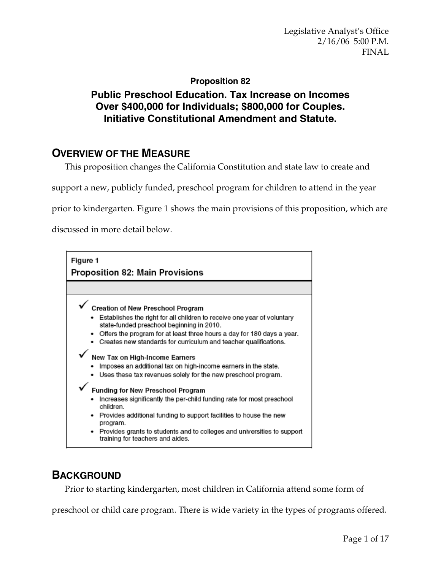## **Proposition 82**

# **Public Preschool Education. Tax Increase on Incomes Over \$400,000 for Individuals; \$800,000 for Couples. Initiative Constitutional Amendment and Statute.**

# **OVERVIEW OF THE MEASURE**

This proposition changes the California Constitution and state law to create and

support a new, publicly funded, preschool program for children to attend in the year

prior to kindergarten. Figure 1 shows the main provisions of this proposition, which are

discussed in more detail below.



# **BACKGROUND**

Prior to starting kindergarten, most children in California attend some form of

preschool or child care program. There is wide variety in the types of programs offered.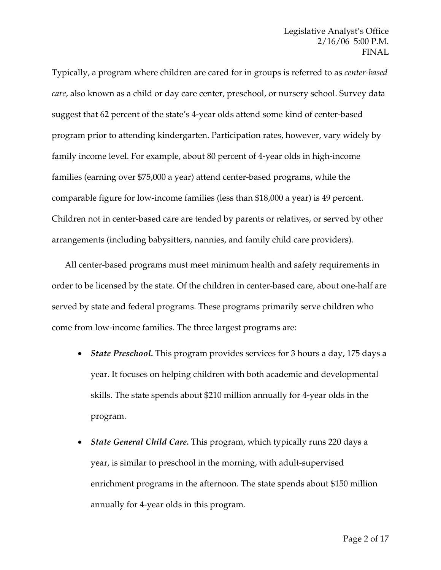Typically, a program where children are cared for in groups is referred to as *center-based care*, also known as a child or day care center, preschool, or nursery school. Survey data suggest that 62 percent of the state's 4-year olds attend some kind of center-based program prior to attending kindergarten. Participation rates, however, vary widely by family income level. For example, about 80 percent of 4-year olds in high-income families (earning over \$75,000 a year) attend center-based programs, while the comparable figure for low-income families (less than \$18,000 a year) is 49 percent. Children not in center-based care are tended by parents or relatives, or served by other arrangements (including babysitters, nannies, and family child care providers).

All center-based programs must meet minimum health and safety requirements in order to be licensed by the state. Of the children in center-based care, about one-half are served by state and federal programs. These programs primarily serve children who come from low-income families. The three largest programs are:

- *State Preschool.* This program provides services for 3 hours a day, 175 days a year. It focuses on helping children with both academic and developmental skills. The state spends about \$210 million annually for 4-year olds in the program.
- *State General Child Care.* This program, which typically runs 220 days a year, is similar to preschool in the morning, with adult-supervised enrichment programs in the afternoon. The state spends about \$150 million annually for 4-year olds in this program.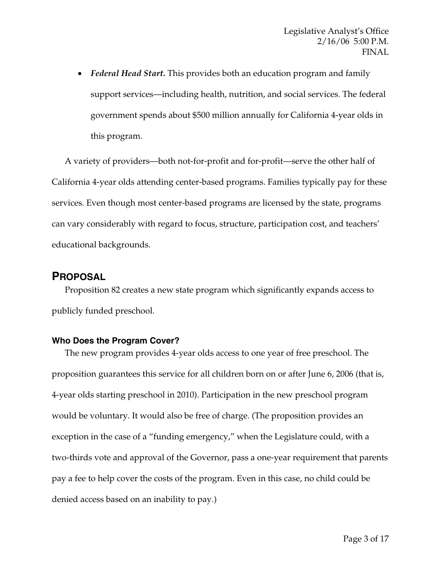• *Federal Head Start.* This provides both an education program and family support services—including health, nutrition, and social services. The federal government spends about \$500 million annually for California 4-year olds in this program.

A variety of providers—both not-for-profit and for-profit—serve the other half of California 4-year olds attending center-based programs. Families typically pay for these services. Even though most center-based programs are licensed by the state, programs can vary considerably with regard to focus, structure, participation cost, and teachers' educational backgrounds.

## **PROPOSAL**

Proposition 82 creates a new state program which significantly expands access to publicly funded preschool.

## **Who Does the Program Cover?**

The new program provides 4-year olds access to one year of free preschool. The proposition guarantees this service for all children born on or after June 6, 2006 (that is, 4-year olds starting preschool in 2010). Participation in the new preschool program would be voluntary. It would also be free of charge. (The proposition provides an exception in the case of a "funding emergency," when the Legislature could, with a two-thirds vote and approval of the Governor, pass a one-year requirement that parents pay a fee to help cover the costs of the program. Even in this case, no child could be denied access based on an inability to pay.)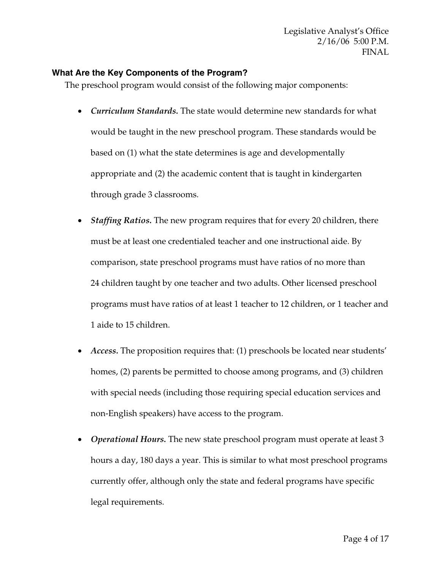## **What Are the Key Components of the Program?**

The preschool program would consist of the following major components:

- *Curriculum Standards.* The state would determine new standards for what would be taught in the new preschool program. These standards would be based on (1) what the state determines is age and developmentally appropriate and (2) the academic content that is taught in kindergarten through grade 3 classrooms.
- *Staffing Ratios.* The new program requires that for every 20 children, there must be at least one credentialed teacher and one instructional aide. By comparison, state preschool programs must have ratios of no more than 24 children taught by one teacher and two adults. Other licensed preschool programs must have ratios of at least 1 teacher to 12 children, or 1 teacher and 1 aide to 15 children.
- *Access.* The proposition requires that: (1) preschools be located near students' homes, (2) parents be permitted to choose among programs, and (3) children with special needs (including those requiring special education services and non-English speakers) have access to the program.
- *Operational Hours.* The new state preschool program must operate at least 3 hours a day, 180 days a year. This is similar to what most preschool programs currently offer, although only the state and federal programs have specific legal requirements.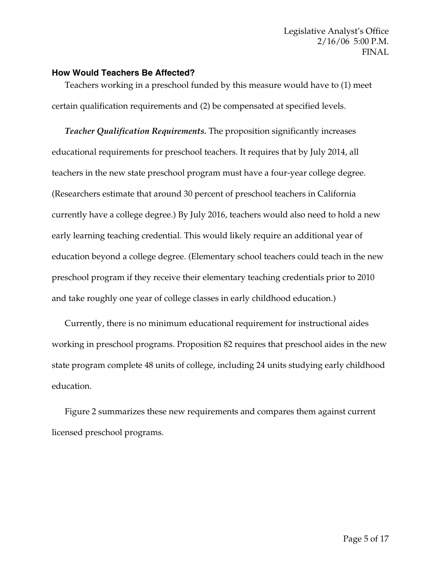#### **How Would Teachers Be Affected?**

Teachers working in a preschool funded by this measure would have to (1) meet certain qualification requirements and (2) be compensated at specified levels.

*Teacher Qualification Requirements.* The proposition significantly increases educational requirements for preschool teachers. It requires that by July 2014, all teachers in the new state preschool program must have a four-year college degree. (Researchers estimate that around 30 percent of preschool teachers in California currently have a college degree.) By July 2016, teachers would also need to hold a new early learning teaching credential. This would likely require an additional year of education beyond a college degree. (Elementary school teachers could teach in the new preschool program if they receive their elementary teaching credentials prior to 2010 and take roughly one year of college classes in early childhood education.)

Currently, there is no minimum educational requirement for instructional aides working in preschool programs. Proposition 82 requires that preschool aides in the new state program complete 48 units of college, including 24 units studying early childhood education.

Figure 2 summarizes these new requirements and compares them against current licensed preschool programs.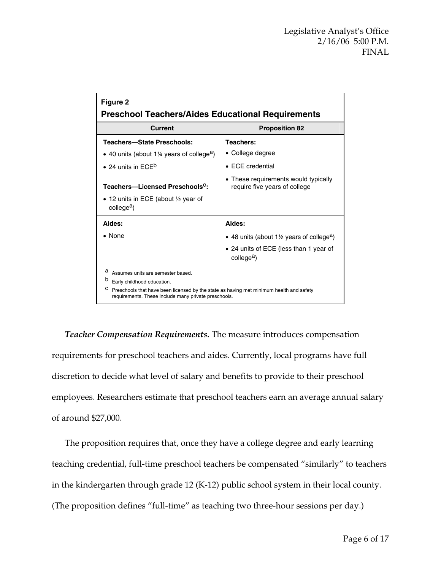| Figure 2                                                                                                                                                                                                                          |                                                                                 |  |  |  |  |  |  |
|-----------------------------------------------------------------------------------------------------------------------------------------------------------------------------------------------------------------------------------|---------------------------------------------------------------------------------|--|--|--|--|--|--|
| <b>Preschool Teachers/Aides Educational Requirements</b><br>Current<br><b>Proposition 82</b>                                                                                                                                      |                                                                                 |  |  |  |  |  |  |
|                                                                                                                                                                                                                                   |                                                                                 |  |  |  |  |  |  |
| <b>Teachers-State Preschools:</b>                                                                                                                                                                                                 | Teachers:                                                                       |  |  |  |  |  |  |
| • 40 units (about 1¼ years of college <sup>a</sup> )                                                                                                                                                                              | • College degree                                                                |  |  |  |  |  |  |
| • 24 units in $ECE^b$                                                                                                                                                                                                             | $\bullet$ ECE credential                                                        |  |  |  |  |  |  |
| Teachers-Licensed Preschools <sup>c</sup> :                                                                                                                                                                                       | • These requirements would typically<br>require five years of college           |  |  |  |  |  |  |
| • 12 units in ECE (about $\frac{1}{2}$ year of<br>college <sup>a</sup> )                                                                                                                                                          |                                                                                 |  |  |  |  |  |  |
| Aides:                                                                                                                                                                                                                            | Aides:                                                                          |  |  |  |  |  |  |
| $\bullet$ None                                                                                                                                                                                                                    | • 48 units (about 1 <sup>1</sup> / <sub>2</sub> years of college <sup>a</sup> ) |  |  |  |  |  |  |
|                                                                                                                                                                                                                                   | • 24 units of ECE (less than 1 year of<br>college <sup>a</sup> )                |  |  |  |  |  |  |
| a<br>Assumes units are semester based.<br>b<br>Early childhood education.<br>с<br>Preschools that have been licensed by the state as having met minimum health and safety<br>requirements. These include many private preschools. |                                                                                 |  |  |  |  |  |  |

*Teacher Compensation Requirements.* The measure introduces compensation requirements for preschool teachers and aides. Currently, local programs have full discretion to decide what level of salary and benefits to provide to their preschool employees. Researchers estimate that preschool teachers earn an average annual salary of around \$27,000.

The proposition requires that, once they have a college degree and early learning teaching credential, full-time preschool teachers be compensated "similarly" to teachers in the kindergarten through grade 12 (K-12) public school system in their local county. (The proposition defines "full-time" as teaching two three-hour sessions per day.)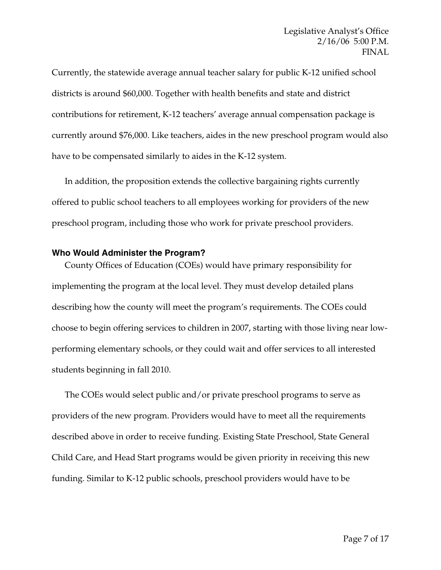Currently, the statewide average annual teacher salary for public K-12 unified school districts is around \$60,000. Together with health benefits and state and district contributions for retirement, K-12 teachers' average annual compensation package is currently around \$76,000. Like teachers, aides in the new preschool program would also have to be compensated similarly to aides in the K-12 system.

In addition, the proposition extends the collective bargaining rights currently offered to public school teachers to all employees working for providers of the new preschool program, including those who work for private preschool providers.

#### **Who Would Administer the Program?**

County Offices of Education (COEs) would have primary responsibility for implementing the program at the local level. They must develop detailed plans describing how the county will meet the program's requirements. The COEs could choose to begin offering services to children in 2007, starting with those living near lowperforming elementary schools, or they could wait and offer services to all interested students beginning in fall 2010.

The COEs would select public and/or private preschool programs to serve as providers of the new program. Providers would have to meet all the requirements described above in order to receive funding. Existing State Preschool, State General Child Care, and Head Start programs would be given priority in receiving this new funding. Similar to K-12 public schools, preschool providers would have to be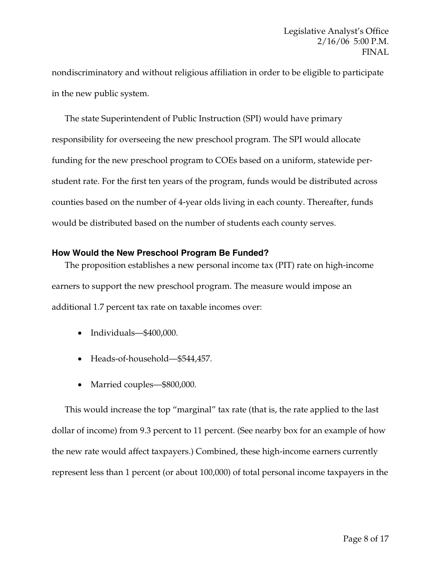nondiscriminatory and without religious affiliation in order to be eligible to participate in the new public system.

The state Superintendent of Public Instruction (SPI) would have primary responsibility for overseeing the new preschool program. The SPI would allocate funding for the new preschool program to COEs based on a uniform, statewide perstudent rate. For the first ten years of the program, funds would be distributed across counties based on the number of 4-year olds living in each county. Thereafter, funds would be distributed based on the number of students each county serves.

### **How Would the New Preschool Program Be Funded?**

The proposition establishes a new personal income tax (PIT) rate on high-income earners to support the new preschool program. The measure would impose an additional 1.7 percent tax rate on taxable incomes over:

- Individuals—\$400,000.
- Heads-of-household—\$544,457.
- Married couples—\$800,000.

This would increase the top "marginal" tax rate (that is, the rate applied to the last dollar of income) from 9.3 percent to 11 percent. (See nearby box for an example of how the new rate would affect taxpayers.) Combined, these high-income earners currently represent less than 1 percent (or about 100,000) of total personal income taxpayers in the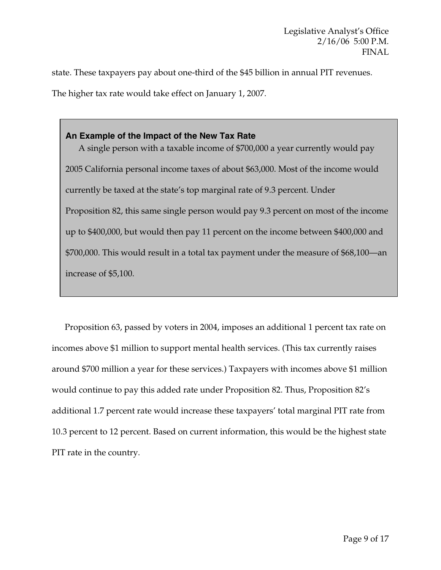state. These taxpayers pay about one-third of the \$45 billion in annual PIT revenues. The higher tax rate would take effect on January 1, 2007.

**An Example of the Impact of the New Tax Rate**  A single person with a taxable income of \$700,000 a year currently would pay 2005 California personal income taxes of about \$63,000. Most of the income would currently be taxed at the state's top marginal rate of 9.3 percent. Under Proposition 82, this same single person would pay 9.3 percent on most of the income up to \$400,000, but would then pay 11 percent on the income between \$400,000 and \$700,000. This would result in a total tax payment under the measure of \$68,100—an increase of \$5,100.

Proposition 63, passed by voters in 2004, imposes an additional 1 percent tax rate on incomes above \$1 million to support mental health services. (This tax currently raises around \$700 million a year for these services.) Taxpayers with incomes above \$1 million would continue to pay this added rate under Proposition 82. Thus, Proposition 82's additional 1.7 percent rate would increase these taxpayers' total marginal PIT rate from 10.3 percent to 12 percent. Based on current information, this would be the highest state PIT rate in the country.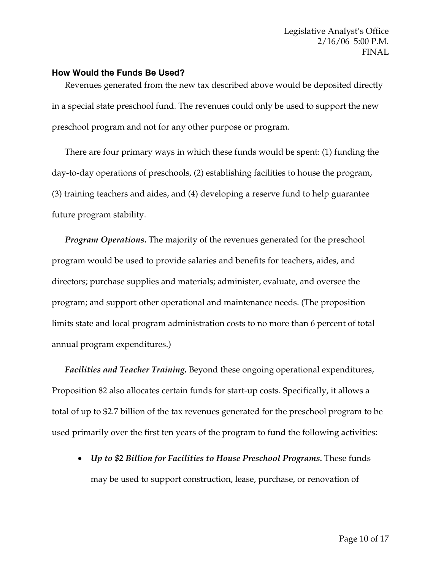#### **How Would the Funds Be Used?**

Revenues generated from the new tax described above would be deposited directly in a special state preschool fund. The revenues could only be used to support the new preschool program and not for any other purpose or program.

There are four primary ways in which these funds would be spent: (1) funding the day-to-day operations of preschools, (2) establishing facilities to house the program, (3) training teachers and aides, and (4) developing a reserve fund to help guarantee future program stability.

*Program Operations.* The majority of the revenues generated for the preschool program would be used to provide salaries and benefits for teachers, aides, and directors; purchase supplies and materials; administer, evaluate, and oversee the program; and support other operational and maintenance needs. (The proposition limits state and local program administration costs to no more than 6 percent of total annual program expenditures.)

*Facilities and Teacher Training.* Beyond these ongoing operational expenditures, Proposition 82 also allocates certain funds for start-up costs. Specifically, it allows a total of up to \$2.7 billion of the tax revenues generated for the preschool program to be used primarily over the first ten years of the program to fund the following activities:

• *Up to \$2 Billion for Facilities to House Preschool Programs.* These funds may be used to support construction, lease, purchase, or renovation of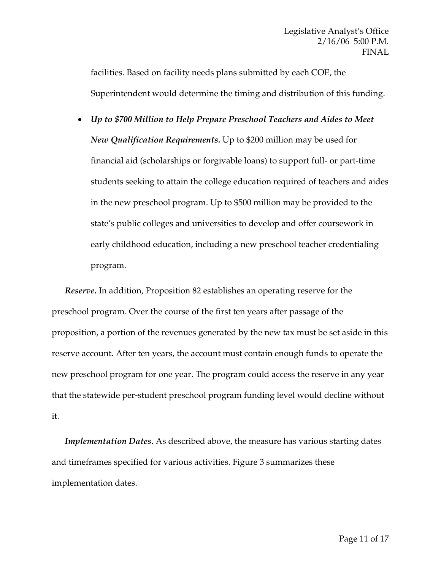facilities. Based on facility needs plans submitted by each COE, the Superintendent would determine the timing and distribution of this funding.

• *Up to \$700 Million to Help Prepare Preschool Teachers and Aides to Meet New Qualification Requirements.* Up to \$200 million may be used for financial aid (scholarships or forgivable loans) to support full- or part-time students seeking to attain the college education required of teachers and aides in the new preschool program. Up to \$500 million may be provided to the state's public colleges and universities to develop and offer coursework in early childhood education, including a new preschool teacher credentialing program.

*Reserve.* In addition, Proposition 82 establishes an operating reserve for the preschool program. Over the course of the first ten years after passage of the proposition, a portion of the revenues generated by the new tax must be set aside in this reserve account. After ten years, the account must contain enough funds to operate the new preschool program for one year. The program could access the reserve in any year that the statewide per-student preschool program funding level would decline without it.

*Implementation Dates.* As described above, the measure has various starting dates and timeframes specified for various activities. Figure 3 summarizes these implementation dates.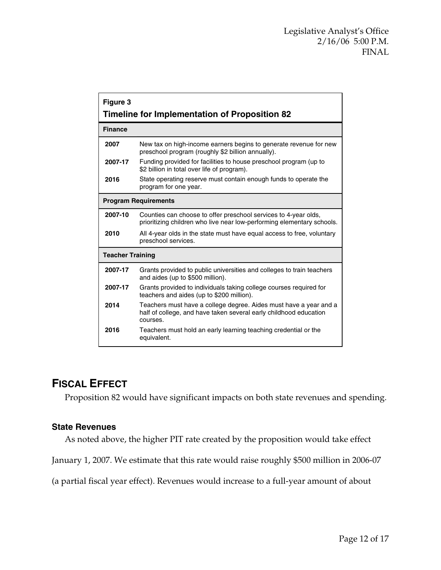| Figure 3<br>Timeline for Implementation of Proposition 82 |                                                                                                                                                    |  |  |  |  |  |  |
|-----------------------------------------------------------|----------------------------------------------------------------------------------------------------------------------------------------------------|--|--|--|--|--|--|
| <b>Finance</b>                                            |                                                                                                                                                    |  |  |  |  |  |  |
| 2007                                                      | New tax on high-income earners begins to generate revenue for new<br>preschool program (roughly \$2 billion annually).                             |  |  |  |  |  |  |
| 2007-17                                                   | Funding provided for facilities to house preschool program (up to<br>\$2 billion in total over life of program).                                   |  |  |  |  |  |  |
| 2016                                                      | State operating reserve must contain enough funds to operate the<br>program for one year.                                                          |  |  |  |  |  |  |
| <b>Program Requirements</b>                               |                                                                                                                                                    |  |  |  |  |  |  |
| 2007-10                                                   | Counties can choose to offer preschool services to 4-year olds,<br>prioritizing children who live near low-performing elementary schools.          |  |  |  |  |  |  |
| 2010                                                      | All 4-year olds in the state must have equal access to free, voluntary<br>preschool services.                                                      |  |  |  |  |  |  |
| <b>Teacher Training</b>                                   |                                                                                                                                                    |  |  |  |  |  |  |
| 2007-17                                                   | Grants provided to public universities and colleges to train teachers<br>and aides (up to \$500 million).                                          |  |  |  |  |  |  |
| 2007-17                                                   | Grants provided to individuals taking college courses required for<br>teachers and aides (up to \$200 million).                                    |  |  |  |  |  |  |
| 2014                                                      | Teachers must have a college degree. Aides must have a year and a<br>half of college, and have taken several early childhood education<br>courses. |  |  |  |  |  |  |
| 2016                                                      | Teachers must hold an early learning teaching credential or the<br>equivalent.                                                                     |  |  |  |  |  |  |

# **FISCAL EFFECT**

Proposition 82 would have significant impacts on both state revenues and spending.

### **State Revenues**

As noted above, the higher PIT rate created by the proposition would take effect

January 1, 2007. We estimate that this rate would raise roughly \$500 million in 2006-07

(a partial fiscal year effect). Revenues would increase to a full-year amount of about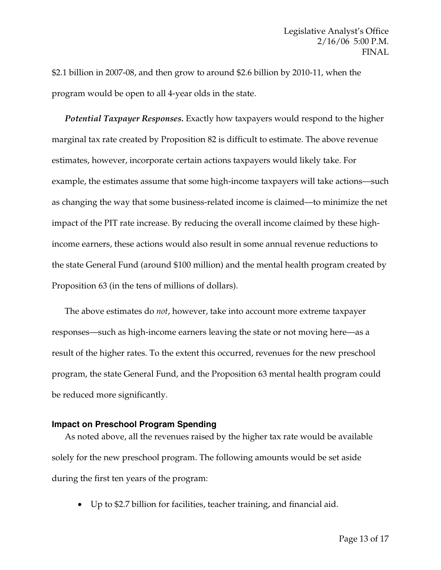\$2.1 billion in 2007-08, and then grow to around \$2.6 billion by 2010-11, when the program would be open to all 4-year olds in the state.

*Potential Taxpayer Responses.* Exactly how taxpayers would respond to the higher marginal tax rate created by Proposition 82 is difficult to estimate. The above revenue estimates, however, incorporate certain actions taxpayers would likely take. For example, the estimates assume that some high-income taxpayers will take actions—such as changing the way that some business-related income is claimed—to minimize the net impact of the PIT rate increase. By reducing the overall income claimed by these highincome earners, these actions would also result in some annual revenue reductions to the state General Fund (around \$100 million) and the mental health program created by Proposition 63 (in the tens of millions of dollars).

The above estimates do *not*, however, take into account more extreme taxpayer responses—such as high-income earners leaving the state or not moving here—as a result of the higher rates. To the extent this occurred, revenues for the new preschool program, the state General Fund, and the Proposition 63 mental health program could be reduced more significantly.

#### **Impact on Preschool Program Spending**

As noted above, all the revenues raised by the higher tax rate would be available solely for the new preschool program. The following amounts would be set aside during the first ten years of the program:

• Up to \$2.7 billion for facilities, teacher training, and financial aid.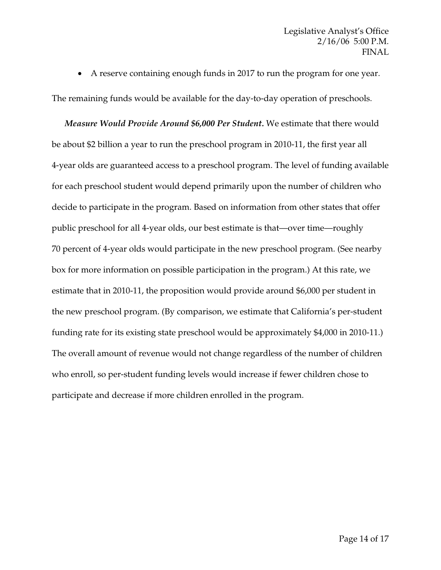• A reserve containing enough funds in 2017 to run the program for one year.

The remaining funds would be available for the day-to-day operation of preschools.

*Measure Would Provide Around \$6,000 Per Student.* We estimate that there would be about \$2 billion a year to run the preschool program in 2010-11, the first year all 4-year olds are guaranteed access to a preschool program. The level of funding available for each preschool student would depend primarily upon the number of children who decide to participate in the program. Based on information from other states that offer public preschool for all 4-year olds, our best estimate is that—over time—roughly 70 percent of 4-year olds would participate in the new preschool program. (See nearby box for more information on possible participation in the program.) At this rate, we estimate that in 2010-11, the proposition would provide around \$6,000 per student in the new preschool program. (By comparison, we estimate that California's per-student funding rate for its existing state preschool would be approximately \$4,000 in 2010-11.) The overall amount of revenue would not change regardless of the number of children who enroll, so per-student funding levels would increase if fewer children chose to participate and decrease if more children enrolled in the program.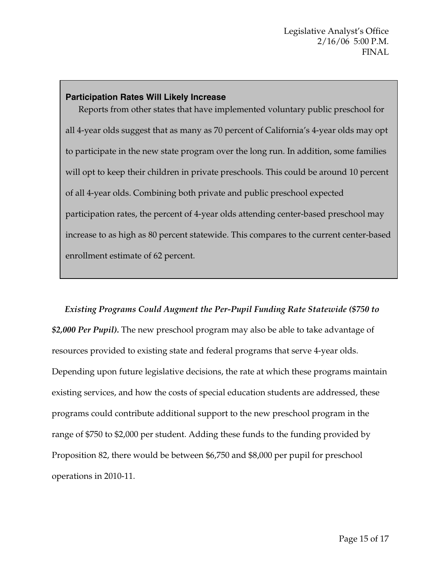#### **Participation Rates Will Likely Increase**

Reports from other states that have implemented voluntary public preschool for all 4-year olds suggest that as many as 70 percent of California's 4-year olds may opt to participate in the new state program over the long run. In addition, some families will opt to keep their children in private preschools. This could be around 10 percent of all 4-year olds. Combining both private and public preschool expected participation rates, the percent of 4-year olds attending center-based preschool may increase to as high as 80 percent statewide. This compares to the current center-based enrollment estimate of 62 percent.

*Existing Programs Could Augment the Per-Pupil Funding Rate Statewide (\$750 to \$2,000 Per Pupil).* The new preschool program may also be able to take advantage of resources provided to existing state and federal programs that serve 4-year olds. Depending upon future legislative decisions, the rate at which these programs maintain existing services, and how the costs of special education students are addressed, these programs could contribute additional support to the new preschool program in the range of \$750 to \$2,000 per student. Adding these funds to the funding provided by Proposition 82, there would be between \$6,750 and \$8,000 per pupil for preschool operations in 2010-11.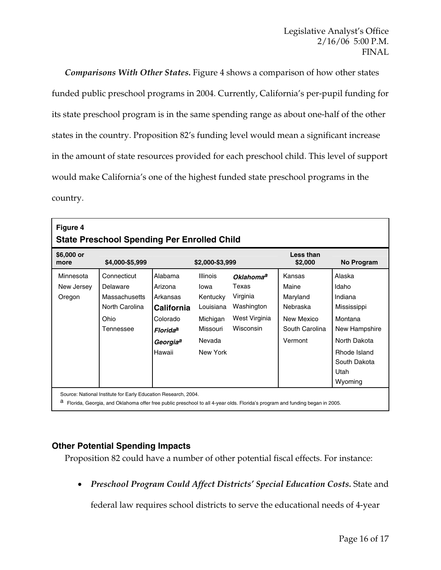*Comparisons With Other States.* Figure 4 shows a comparison of how other states funded public preschool programs in 2004. Currently, California's per-pupil funding for its state preschool program is in the same spending range as about one-half of the other states in the country. Proposition 82's funding level would mean a significant increase in the amount of state resources provided for each preschool child. This level of support would make California's one of the highest funded state preschool programs in the country.

| \$6,000 or<br>Less than<br>\$4,000-\$5,999<br>\$2,000-\$3,999<br>\$2,000<br>more<br>Alabama<br>Connecticut<br><b>Illinois</b><br>Kansas<br>Alaska<br>Minnesota<br>Oklahoma <sup>a</sup><br>Texas<br>Maine<br>Idaho<br>New Jersey<br>Delaware<br>Arizona<br>lowa<br>Indiana<br>Massachusetts<br>Arkansas<br>Kentucky<br>Virginia<br>Maryland<br>Oregon<br>North Carolina<br>Washington<br>Nebraska<br>Louisiana<br><b>California</b><br>West Virginia<br>Colorado<br>Michigan<br>New Mexico<br>Ohio<br>Montana | Figure 4<br><b>State Preschool Spending Per Enrolled Child</b> |           |                            |          |           |                |                                                                              |  |  |  |
|---------------------------------------------------------------------------------------------------------------------------------------------------------------------------------------------------------------------------------------------------------------------------------------------------------------------------------------------------------------------------------------------------------------------------------------------------------------------------------------------------------------|----------------------------------------------------------------|-----------|----------------------------|----------|-----------|----------------|------------------------------------------------------------------------------|--|--|--|
|                                                                                                                                                                                                                                                                                                                                                                                                                                                                                                               |                                                                |           |                            |          |           |                | No Program                                                                   |  |  |  |
| Nevada<br>Vermont<br>Georgia <sup>a</sup><br>Hawaii<br>New York<br>Utah<br>Wyoming                                                                                                                                                                                                                                                                                                                                                                                                                            |                                                                | Tennessee | <b>Florida<sup>a</sup></b> | Missouri | Wisconsin | South Carolina | Mississippi<br>New Hampshire<br>North Dakota<br>Rhode Island<br>South Dakota |  |  |  |

## **Other Potential Spending Impacts**

Proposition 82 could have a number of other potential fiscal effects. For instance:

• *Preschool Program Could Affect Districts' Special Education Costs.* State and

federal law requires school districts to serve the educational needs of 4-year